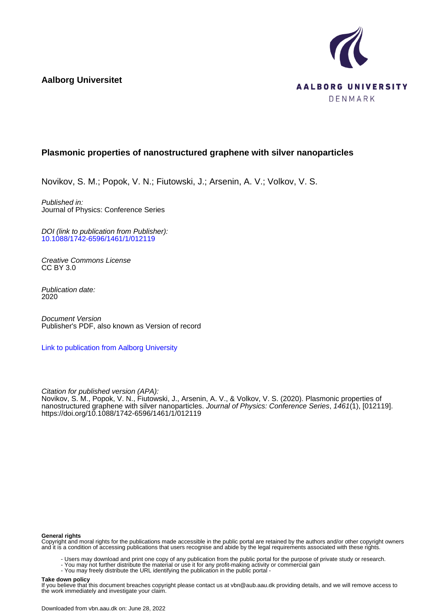**Aalborg Universitet**



# **Plasmonic properties of nanostructured graphene with silver nanoparticles**

Novikov, S. M.; Popok, V. N.; Fiutowski, J.; Arsenin, A. V.; Volkov, V. S.

Published in: Journal of Physics: Conference Series

DOI (link to publication from Publisher): [10.1088/1742-6596/1461/1/012119](https://doi.org/10.1088/1742-6596/1461/1/012119)

Creative Commons License CC BY 3.0

Publication date: 2020

Document Version Publisher's PDF, also known as Version of record

[Link to publication from Aalborg University](https://vbn.aau.dk/en/publications/52bed354-6b93-4fa1-80af-f39e2310cc97)

Citation for published version (APA):

Novikov, S. M., Popok, V. N., Fiutowski, J., Arsenin, A. V., & Volkov, V. S. (2020). Plasmonic properties of nanostructured graphene with silver nanoparticles. Journal of Physics: Conference Series, 1461(1), [012119]. <https://doi.org/10.1088/1742-6596/1461/1/012119>

#### **General rights**

Copyright and moral rights for the publications made accessible in the public portal are retained by the authors and/or other copyright owners and it is a condition of accessing publications that users recognise and abide by the legal requirements associated with these rights.

- Users may download and print one copy of any publication from the public portal for the purpose of private study or research.
- You may not further distribute the material or use it for any profit-making activity or commercial gain
	- You may freely distribute the URL identifying the publication in the public portal -

#### **Take down policy**

If you believe that this document breaches copyright please contact us at vbn@aub.aau.dk providing details, and we will remove access to the work immediately and investigate your claim.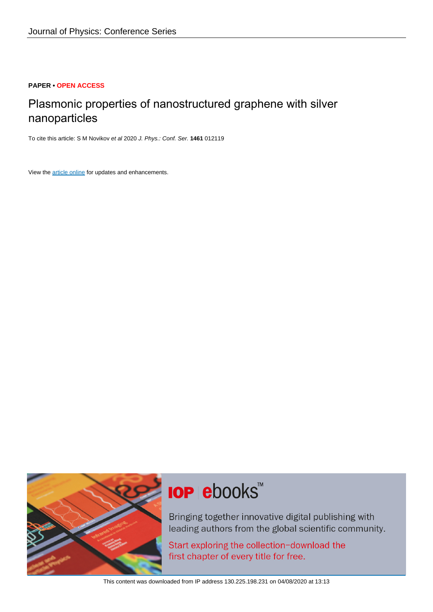## **PAPER • OPEN ACCESS**

# Plasmonic properties of nanostructured graphene with silver nanoparticles

To cite this article: S M Novikov et al 2020 J. Phys.: Conf. Ser. **1461** 012119

View the [article online](https://doi.org/10.1088/1742-6596/1461/1/012119) for updates and enhancements.



# **IOP ebooks**™

Bringing together innovative digital publishing with leading authors from the global scientific community.

Start exploring the collection-download the first chapter of every title for free.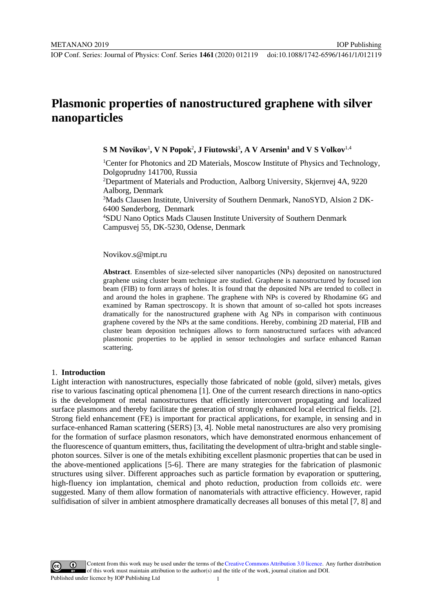# **Plasmonic properties of nanostructured graphene with silver nanoparticles**

 $\mathbf{S} \mathbf{M}$  Novikov<sup>1</sup>,  $\mathbf{V} \mathbf{N}$  Popok $^2$ ,  $\mathbf{J}$  Fiutowski $^3, \mathbf{A} \mathbf{V}$  Arsenin $^1$  and  $\mathbf{V} \mathbf{S}$  Volkov $^{1,4}$ 

<sup>1</sup>Center for Photonics and 2D Materials, Moscow Institute of Physics and Technology, Dolgoprudny 141700, Russia

IOP Publishing

2 Department of Materials and Production, Aalborg University, Skjernvej 4A, 9220 Aalborg, Denmark

3 Mads Clausen Institute, University of Southern Denmark, NanoSYD, Alsion 2 DK-6400 Sønderborg, Denmark

4 SDU Nano Optics Mads Clausen Institute University of Southern Denmark Campusvej 55, DK-5230, Odense, Denmark

#### Novikov.s@mipt.ru

**Abstract**. Ensembles of size-selected silver nanoparticles (NPs) deposited on nanostructured graphene using cluster beam technique are studied. Graphene is nanostructured by focused ion beam (FIB) to form arrays of holes. It is found that the deposited NPs are tended to collect in and around the holes in graphene. The graphene with NPs is covered by Rhodamine 6G and examined by Raman spectroscopy. It is shown that amount of so-called hot spots increases dramatically for the nanostructured graphene with Ag NPs in comparison with continuous graphene covered by the NPs at the same conditions. Hereby, combining 2D material, FIB and cluster beam deposition techniques allows to form nanostructured surfaces with advanced plasmonic properties to be applied in sensor technologies and surface enhanced Raman scattering.

#### 1. **Introduction**

Light interaction with nanostructures, especially those fabricated of noble (gold, silver) metals, gives rise to various fascinating optical phenomena [1]. One of the current research directions in nano-optics is the development of metal nanostructures that efficiently interconvert propagating and localized surface plasmons and thereby facilitate the generation of strongly enhanced local electrical fields. [2]. Strong field enhancement (FE) is important for practical applications, for example, in sensing and in surface-enhanced Raman scattering (SERS) [3, 4]. Noble metal nanostructures are also very promising for the formation of surface plasmon resonators, which have demonstrated enormous enhancement of the fluorescence of quantum emitters, thus, facilitating the development of ultra-bright and stable singlephoton sources. Silver is one of the metals exhibiting excellent plasmonic properties that can be used in the above-mentioned applications [5-6]. There are many strategies for the fabrication of plasmonic structures using silver. Different approaches such as particle formation by evaporation or sputtering, high-fluency ion implantation, chemical and photo reduction, production from colloids *etc*. were suggested. Many of them allow formation of nanomaterials with attractive efficiency. However, rapid sulfidisation of silver in ambient atmosphere dramatically decreases all bonuses of this metal [7, 8] and

Content from this work may be used under the terms of theCreative Commons Attribution 3.0 licence. Any further distribution of this work must maintain attribution to the author(s) and the title of the work, journal citation and DOI. Published under licence by IOP Publishing Ltd 1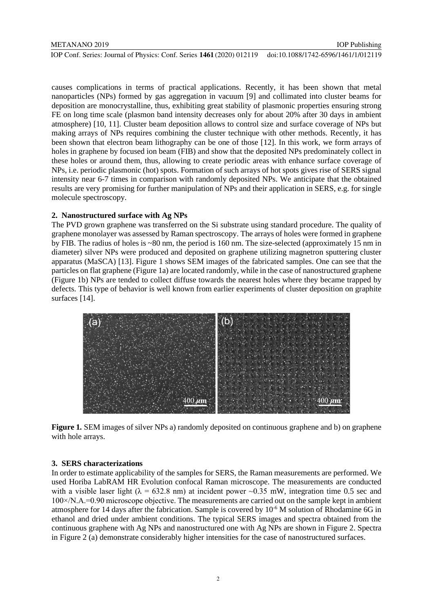IOP Conf. Series: Journal of Physics: Conf. Series **1461** (2020) 012119 doi:10.1088/1742-6596/1461/1/012119

causes complications in terms of practical applications. Recently, it has been shown that metal nanoparticles (NPs) formed by gas aggregation in vacuum [9] and collimated into cluster beams for deposition are monocrystalline, thus, exhibiting great stability of plasmonic properties ensuring strong FE on long time scale (plasmon band intensity decreases only for about 20% after 30 days in ambient atmosphere) [10, 11]. Cluster beam deposition allows to control size and surface coverage of NPs but making arrays of NPs requires combining the cluster technique with other methods. Recently, it has been shown that electron beam lithography can be one of those [12]. In this work, we form arrays of holes in graphene by focused ion beam (FIB) and show that the deposited NPs predominately collect in these holes or around them, thus, allowing to create periodic areas with enhance surface coverage of NPs, i.e. periodic plasmonic (hot) spots. Formation of such arrays of hot spots gives rise of SERS signal intensity near 6-7 times in comparison with randomly deposited NPs. We anticipate that the obtained results are very promising for further manipulation of NPs and their application in SERS, e.g. for single molecule spectroscopy.

## **2. Nanostructured surface with Ag NPs**

The PVD grown graphene was transferred on the Si substrate using standard procedure. The quality of graphene monolayer was assessed by Raman spectroscopy. The arrays of holes were formed in graphene by FIB. The radius of holes is ~80 nm, the period is 160 nm. The size-selected (approximately 15 nm in diameter) silver NPs were produced and deposited on graphene utilizing magnetron sputtering cluster apparatus (MaSCA) [13]. Figure 1 shows SEM images of the fabricated samples. One can see that the particles on flat graphene (Figure 1a) are located randomly, while in the case of nanostructured graphene (Figure 1b) NPs are tended to collect diffuse towards the nearest holes where they became trapped by defects. This type of behavior is well known from earlier experiments of cluster deposition on graphite surfaces [14].



**Figure 1***.* SEM images of silver NPs a) randomly deposited on continuous graphene and b) on graphene with hole arrays.

### **3. SERS characterizations**

In order to estimate applicability of the samples for SERS, the Raman measurements are performed. We used Horiba LabRAM HR Evolution confocal Raman microscope. The measurements are conducted with a visible laser light ( $\lambda = 632.8$  nm) at incident power ~0.35 mW, integration time 0.5 sec and 100×/N.A.=0.90 microscope objective. The measurements are carried out on the sample kept in ambient atmosphere for 14 days after the fabrication. Sample is covered by  $10^{-6}$  M solution of Rhodamine 6G in ethanol and dried under ambient conditions. The typical SERS images and spectra obtained from the continuous graphene with Ag NPs and nanostructured one with Ag NPs are shown in Figure 2. Spectra in Figure 2 (a) demonstrate considerably higher intensities for the case of nanostructured surfaces.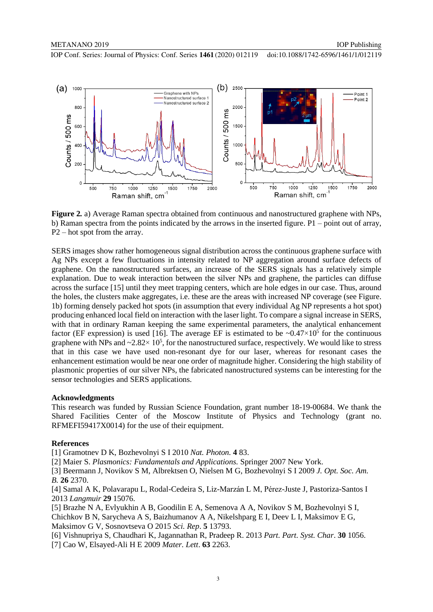IOP Conf. Series: Journal of Physics: Conf. Series **1461** (2020) 012119 doi:10.1088/1742-6596/1461/1/012119



**Figure 2***.* a) Average Raman spectra obtained from continuous and nanostructured graphene with NPs, b) Raman spectra from the points indicated by the arrows in the inserted figure. P1 – point out of array, P2 – hot spot from the array.

SERS images show rather homogeneous signal distribution across the continuous graphene surface with Ag NPs except a few fluctuations in intensity related to NP aggregation around surface defects of graphene. On the nanostructured surfaces, an increase of the SERS signals has a relatively simple explanation. Due to weak interaction between the silver NPs and graphene, the particles can diffuse across the surface [15] until they meet trapping centers, which are hole edges in our case. Thus, around the holes, the clusters make aggregates, i.e. these are the areas with increased NP coverage (see Figure. 1b) forming densely packed hot spots (in assumption that every individual Ag NP represents a hot spot) producing enhanced local field on interaction with the laser light. To compare a signal increase in SERS, with that in ordinary Raman keeping the same experimental parameters, the analytical enhancement factor (EF expression) is used [16]. The average EF is estimated to be  $\sim 0.47 \times 10^5$  for the continuous graphene with NPs and  $\sim 2.82 \times 10^5$ , for the nanostructured surface, respectively. We would like to stress that in this case we have used non-resonant dye for our laser, whereas for resonant cases the enhancement estimation would be near one order of magnitude higher. Considering the high stability of plasmonic properties of our silver NPs, the fabricated nanostructured systems can be interesting for the sensor technologies and SERS applications.

#### **Acknowledgments**

This research was funded by Russian Science Foundation, grant number 18-19-00684. We thank the Shared Facilities Center of the Moscow Institute of Physics and Technology (grant no. RFMEFI59417X0014) for the use of their equipment.

#### **References**

[1] Gramotnev D K, Bozhevolnyi S I 2010 *Nat. Photon.* **4** 83.

[2] Maier S. *Plasmonics: Fundamentals and Applications.* Springer 2007 New York.

[3] Beermann J, Novikov S M, Albrektsen O, Nielsen M G, Bozhevolnyi S I 2009 *J. Opt. Soc. Am. B.* **26** 2370.

[4] Samal A K, Polavarapu L, Rodal-Cedeira S, Liz-Marzán L M, Pérez-Juste J, Pastoriza-Santos I 2013 *Langmuir* **29** 15076.

[5] Brazhe N A, Evlyukhin A B, Goodilin E A, Semenova A A, Novikov S M, Bozhevolnyi S I, Chichkov B N, Sarycheva A S, Baizhumanov A A, Nikelshparg E I, Deev L I, Maksimov E G, Maksimov G V, Sosnovtseva O 2015 *Sci. Rep*. **5** 13793.

[6] Vishnupriya S, Chaudhari K, Jagannathan R, Pradeep R. 2013 *Part. Part. Syst. Char*. **30** 1056. [7] Cao W, Elsayed-Ali H E 2009 *Mater. Lett*. **63** 2263.